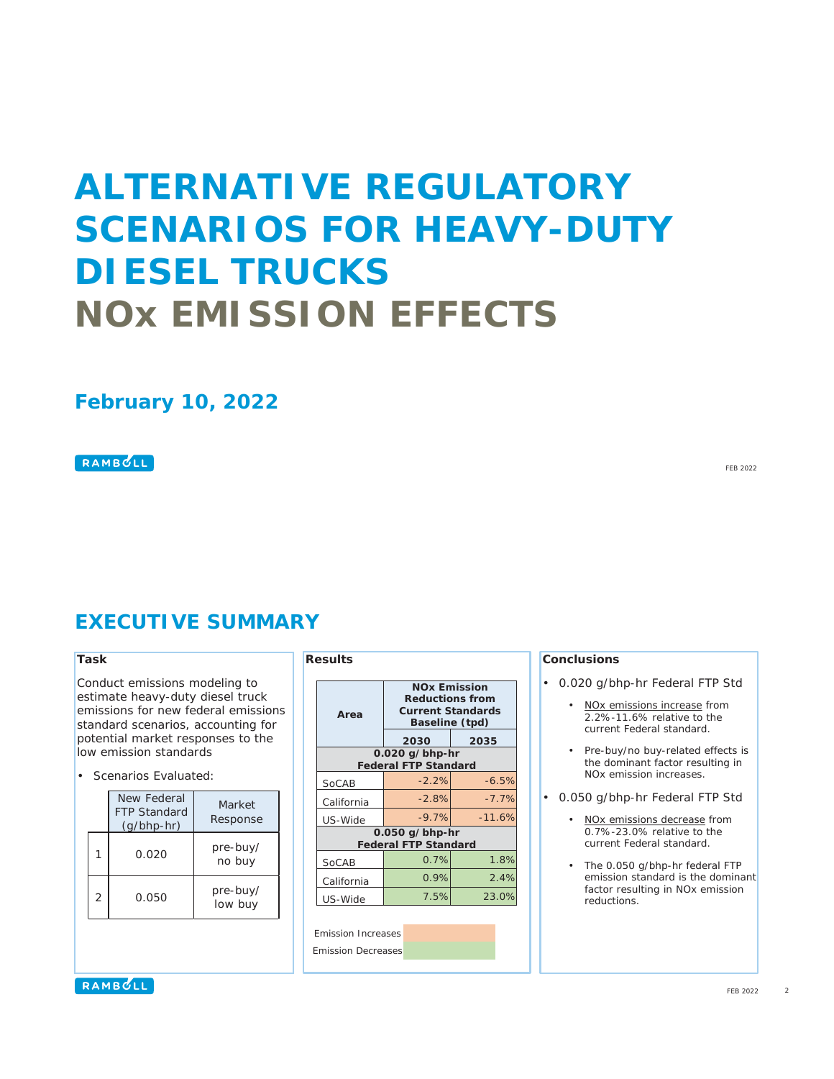# **ALTERNATIVE REGULATORY SCENARIOS FOR HEAVY-DUTY DIESEL TRUCKS NOx EMISSION EFFECTS**

### **February 10, 2022**

#### RAMBULL

**EXECUTIVE SUMMARY**

#### **Task**

Conduct emissions modeling to estimate heavy-duty diesel truck emissions for new federal emissions standard scenarios, accounting for potential market responses to the low emission standards

• Scenarios Evaluated:

|   | New Federal<br><b>FTP Standard</b><br>$(q/bhp-hr)$ | Market<br>Response  |
|---|----------------------------------------------------|---------------------|
| 1 | 0.020                                              | pre-buy/<br>no buy  |
| 2 | 0.050                                              | pre-buy/<br>low buy |

**Results**

| Area                                            | <b>NOx Emission</b><br><b>Reductions from</b><br><b>Current Standards</b><br>Baseline (tpd) |          |  |  |  |  |  |
|-------------------------------------------------|---------------------------------------------------------------------------------------------|----------|--|--|--|--|--|
|                                                 | 2030                                                                                        | 2035     |  |  |  |  |  |
| $0.020$ g/bhp-hr<br><b>Federal FTP Standard</b> |                                                                                             |          |  |  |  |  |  |
| SoCAB                                           | $-2.2%$                                                                                     | $-6.5%$  |  |  |  |  |  |
| California                                      | $-2.8%$                                                                                     | $-7.7%$  |  |  |  |  |  |
| US-Wide                                         | $-9.7%$                                                                                     | $-11.6%$ |  |  |  |  |  |
| 0.050 g/bhp-hr<br><b>Federal FTP Standard</b>   |                                                                                             |          |  |  |  |  |  |
| SoCAB                                           | 0.7%                                                                                        | 1.8%     |  |  |  |  |  |
| California                                      | 0.9%                                                                                        | 2.4%     |  |  |  |  |  |
| US-Wide                                         | 7.5%                                                                                        | 23.0%    |  |  |  |  |  |

Emission Increases Emission Decreases

#### **Conclusions**

- 0.020 g/bhp-hr Federal FTP Std
	- NOx emissions increase from 2.2%-11.6% relative to the current Federal standard.
	- Pre-buy/no buy-related effects is the dominant factor resulting in NOx emission increases.
- 0.050 g/bhp-hr Federal FTP Std
	- NOx emissions decrease from 0.7%-23.0% relative to the current Federal standard.
	- The 0.050 g/bhp-hr federal FTP emission standard is the dominant factor resulting in NOx emission reductions.

RAMBULL

FEB 2022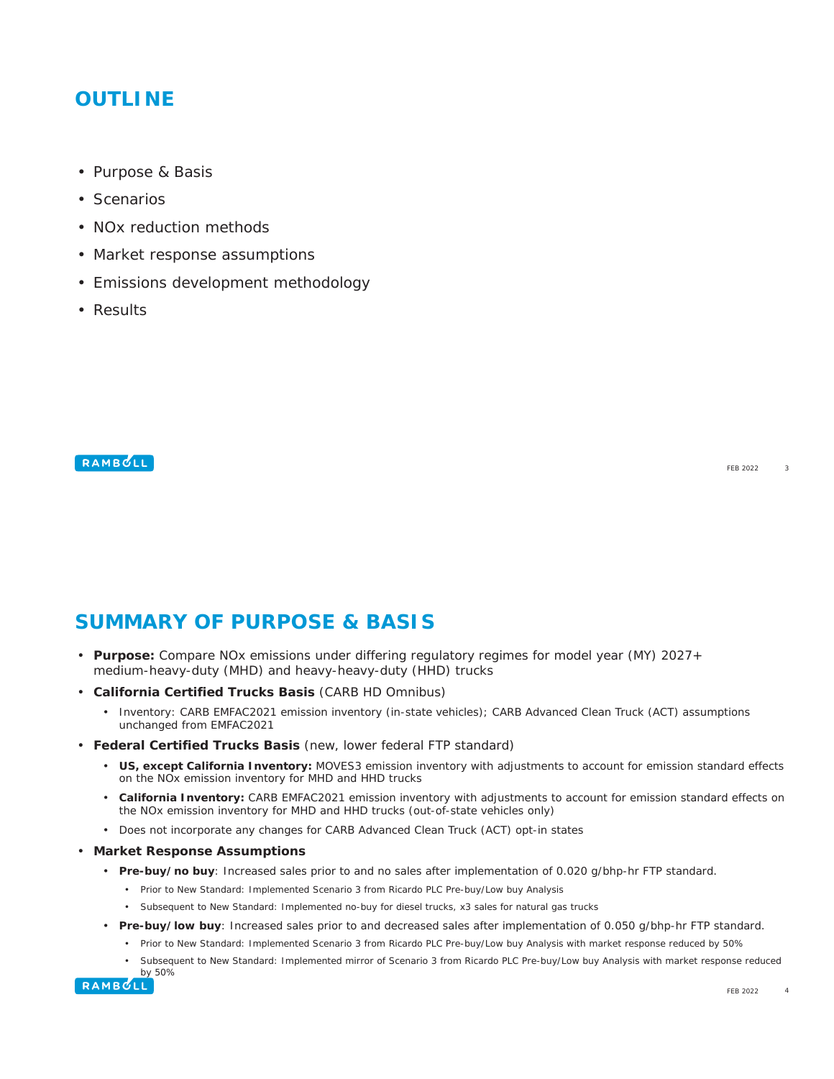### **OUTLINE**

- Purpose & Basis
- Scenarios
- NOx reduction methods
- Market response assumptions
- Emissions development methodology
- Results

#### RAMBULL

**SUMMARY OF PURPOSE & BASIS**

- **Purpose:** Compare NOx emissions under differing regulatory regimes for model year (MY) 2027+ medium-heavy-duty (MHD) and heavy-heavy-duty (HHD) trucks
- **California Certified Trucks Basis** (CARB HD Omnibus)
	- Inventory: CARB EMFAC2021 emission inventory (in-state vehicles); CARB Advanced Clean Truck (ACT) assumptions unchanged from EMFAC2021
- **Federal Certified Trucks Basis** (new, lower federal FTP standard)
	- **US, except California Inventory:** MOVES3 emission inventory with adjustments to account for emission standard effects on the NOx emission inventory for MHD and HHD trucks
	- **California Inventory:** CARB EMFAC2021 emission inventory with adjustments to account for emission standard effects on the NOx emission inventory for MHD and HHD trucks (out-of-state vehicles only)
	- Does not incorporate any changes for CARB Advanced Clean Truck (ACT) opt-in states
- **Market Response Assumptions**
	- **Pre-buy/no buy**: Increased sales prior to and no sales after implementation of 0.020 g/bhp-hr FTP standard.
		- Prior to New Standard: Implemented Scenario 3 from Ricardo PLC Pre-buy/Low buy Analysis
		- Subsequent to New Standard: Implemented no-buy for diesel trucks, x3 sales for natural gas trucks
	- **Pre-buy/low buy**: Increased sales prior to and decreased sales after implementation of 0.050 g/bhp-hr FTP standard.
		- Prior to New Standard: Implemented Scenario 3 from Ricardo PLC Pre-buy/Low buy Analysis with market response reduced by 50%
		- Subsequent to New Standard: Implemented mirror of Scenario 3 from Ricardo PLC Pre-buy/Low buy Analysis with market response reduced



FEB 2022

3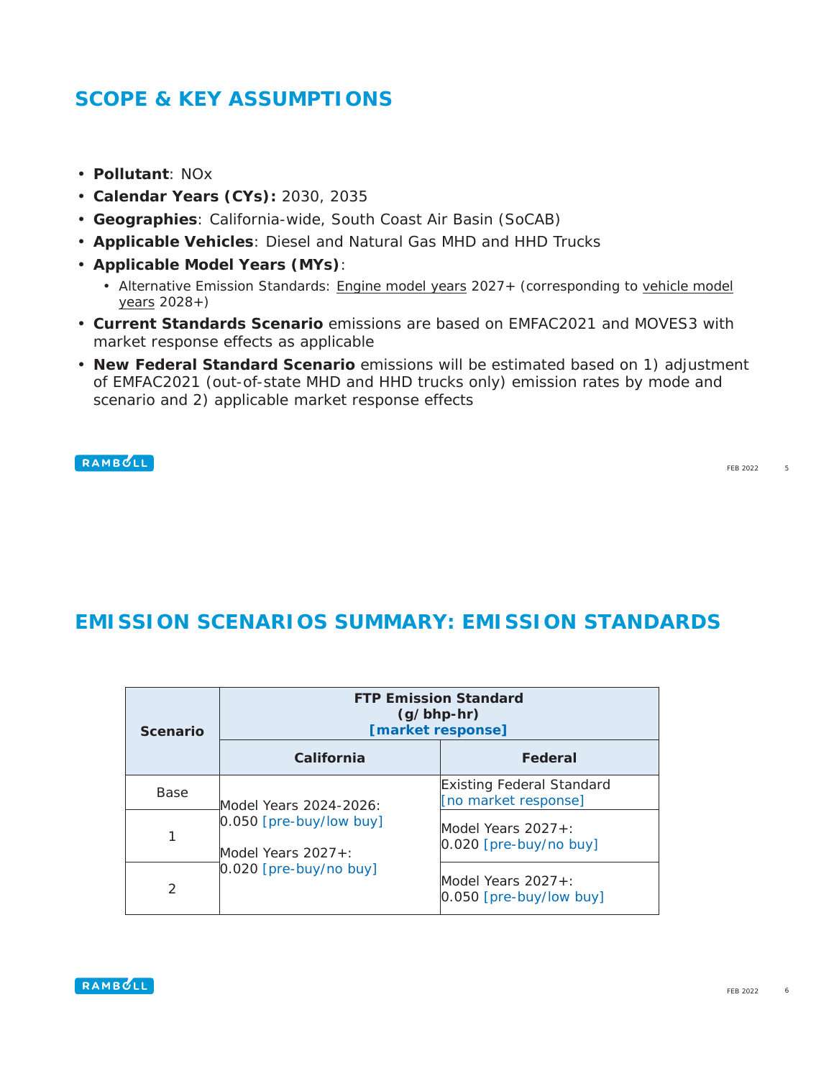### **SCOPE & KEY ASSUMPTIONS**

- **Pollutant**: NOx
- **Calendar Years (CYs):** 2030, 2035
- **Geographies**: California-wide, South Coast Air Basin (SoCAB)
- **Applicable Vehicles**: Diesel and Natural Gas MHD and HHD Trucks
- **Applicable Model Years (MYs)**:
	- Alternative Emission Standards: Engine model years 2027+ (corresponding to vehicle model years 2028+)
- **Current Standards Scenario** emissions are based on EMFAC2021 and MOVES3 with market response effects as applicable
- **New Federal Standard Scenario** emissions will be estimated based on 1) adjustment of EMFAC2021 (out-of-state MHD and HHD trucks only) emission rates by mode and scenario and 2) applicable market response effects

#### RAMBULL

FEB 2022 5

### **EMISSION SCENARIOS SUMMARY: EMISSION STANDARDS**

| <b>Scenario</b> | <b>FTP Emission Standard</b><br>$(g/bhp-hr)$<br>[market response] |                                                          |  |  |  |  |
|-----------------|-------------------------------------------------------------------|----------------------------------------------------------|--|--|--|--|
|                 | California                                                        | Federal                                                  |  |  |  |  |
| <b>Base</b>     | Model Years 2024-2026:                                            | <b>Existing Federal Standard</b><br>[no market response] |  |  |  |  |
| 1               | $0.050$ [pre-buy/low buy]<br>Model Years $2027 + 1$               | Model Years $2027 + 1$<br>$[0.020$ [pre-buy/no buy]      |  |  |  |  |
| $\mathcal{P}$   | $[0.020$ [pre-buy/no buy]                                         | Model Years $2027 + 1$<br>$[0.050$ [pre-buy/low buy]     |  |  |  |  |

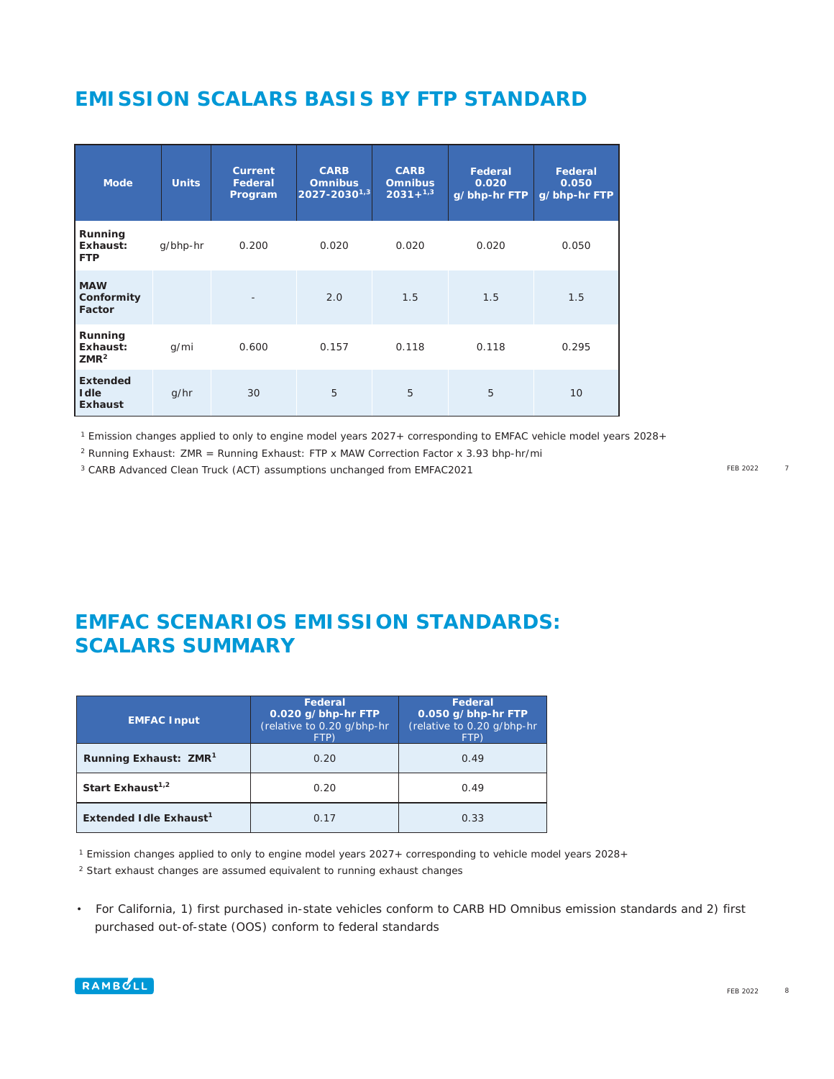# **EMISSION SCALARS BASIS BY FTP STANDARD**

| <b>Mode</b>                                       | <b>Units</b> | <b>Current</b><br>Federal<br>Program | <b>CARB</b><br><b>Omnibus</b><br>$2027 - 2030^{1,3}$ | <b>CARB</b><br><b>Omnibus</b><br>$2031 + 1.3$ | Federal<br>0.020<br>g/bhp-hr FTP | Federal<br>0.050<br>g/bhp-hr FTP |
|---------------------------------------------------|--------------|--------------------------------------|------------------------------------------------------|-----------------------------------------------|----------------------------------|----------------------------------|
| Running<br>Exhaust:<br><b>FTP</b>                 | g/bhp-hr     | 0.200                                | 0.020                                                | 0.020                                         | 0.020                            | 0.050                            |
| <b>MAW</b><br>Conformity<br>Factor                |              |                                      | 2.0                                                  | 1.5                                           | 1.5                              | 1.5                              |
| Running<br>Exhaust:<br>ZMR <sup>2</sup>           | g/mi         | 0.600                                | 0.157                                                | 0.118                                         | 0.118                            | 0.295                            |
| <b>Extended</b><br><b>I</b> dle<br><b>Exhaust</b> | q/hr         | 30                                   | 5                                                    | 5                                             | 5                                | 10                               |

<sup>1</sup> Emission changes applied to only to engine model years 2027+ corresponding to EMFAC vehicle model years 2028+

<sup>2</sup> Running Exhaust: ZMR = Running Exhaust: FTP x MAW Correction Factor x 3.93 bhp-hr/mi

<sup>3</sup> CARB Advanced Clean Truck (ACT) assumptions unchanged from EMFAC2021

FEB 2022 7

# **EMFAC SCENARIOS EMISSION STANDARDS: SCALARS SUMMARY**

| <b>EMFAC Input</b>                 | Federal<br>0.020 g/bhp-hr FTP<br>(relative to 0.20 g/bhp-hr<br>FTP) | Federal<br>0.050 g/bhp-hr FTP<br>(relative to 0.20 g/bhp-hr<br>FTP) |  |  |
|------------------------------------|---------------------------------------------------------------------|---------------------------------------------------------------------|--|--|
| Running Exhaust: ZMR <sup>1</sup>  | 0.20                                                                | 0.49                                                                |  |  |
| Start Exhaust <sup>1,2</sup>       | 0.20                                                                | 0.49                                                                |  |  |
| Extended Idle Exhaust <sup>1</sup> | 0.17                                                                | 0.33                                                                |  |  |

<sup>1</sup> Emission changes applied to only to engine model years 2027+ corresponding to vehicle model years 2028+

<sup>2</sup> Start exhaust changes are assumed equivalent to running exhaust changes

• For California, 1) first purchased in-state vehicles conform to CARB HD Omnibus emission standards and 2) first purchased out-of-state (OOS) conform to federal standards

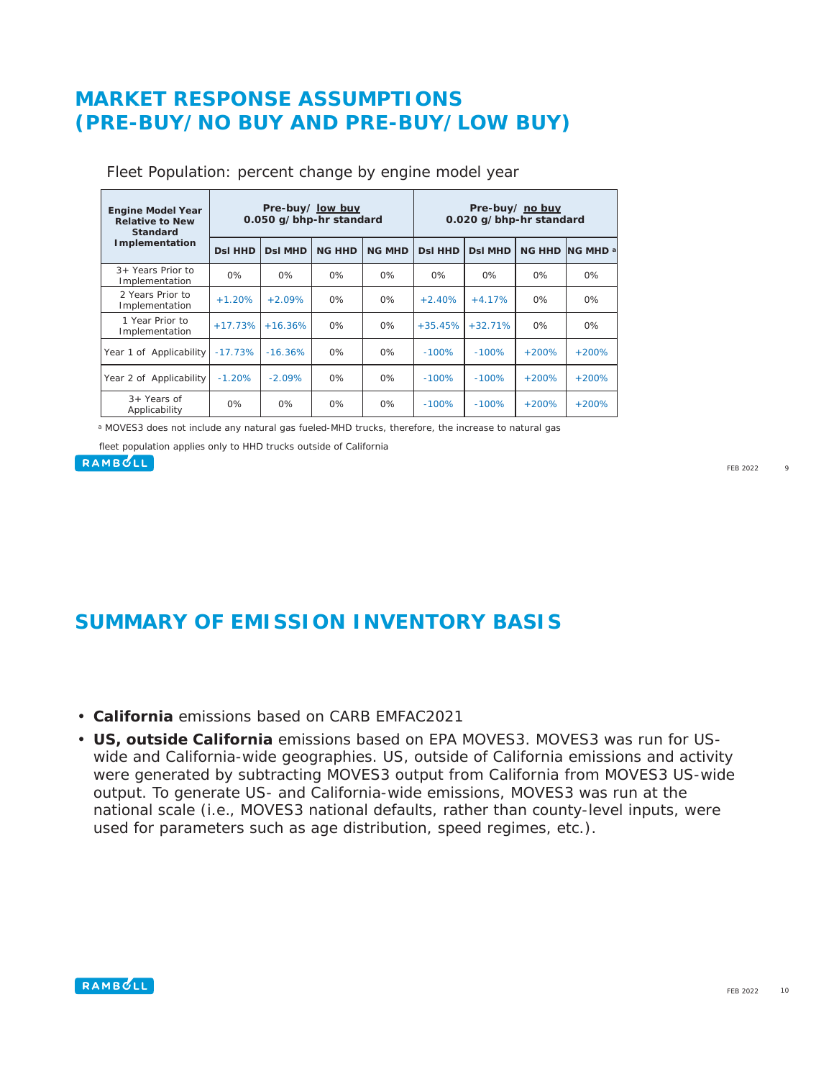### **MARKET RESPONSE ASSUMPTIONS (PRE-BUY/NO BUY AND PRE-BUY/LOW BUY)**

| <b>Engine Model Year</b><br><b>Relative to New</b><br><b>Standard</b> | Pre-buy/ low buy<br>0.050 g/bhp-hr standard |                |               |               | Pre-buy/ no buy<br>0.020 g/bhp-hr standard |                |               |                      |
|-----------------------------------------------------------------------|---------------------------------------------|----------------|---------------|---------------|--------------------------------------------|----------------|---------------|----------------------|
| Implementation                                                        | <b>DsI HHD</b>                              | <b>DsI MHD</b> | <b>NG HHD</b> | <b>NG MHD</b> | <b>DsI HHD</b>                             | <b>DsI MHD</b> | <b>NG HHD</b> | ING MHD <sup>a</sup> |
| $3+$ Years Prior to<br>Implementation                                 | 0%                                          | $0\%$          | 0%            | 0%            | $0\%$                                      | $0\%$          | $0\%$         | $0\%$                |
| 2 Years Prior to<br>Implementation                                    | $+1.20%$                                    | $+2.09%$       | 0%            | 0%            | $+2.40%$                                   | $+4.17%$       | $0\%$         | $0\%$                |
| 1 Year Prior to<br>Implementation                                     | $+17.73%$                                   | $+16.36%$      | 0%            | 0%            | $+35.45%$                                  | $+32.71%$      | $0\%$         | 0%                   |
| Year 1 of Applicability                                               | $-17.73%$                                   | $-16.36%$      | 0%            | 0%            | $-100%$                                    | $-100%$        | $+200%$       | $+200%$              |
| Year 2 of Applicability                                               | $-1.20%$                                    | $-2.09\%$      | 0%            | $0\%$         | $-100%$                                    | $-100%$        | $+200%$       | $+200%$              |
| 3+ Years of<br>Applicability                                          | 0%                                          | $0\%$          | 0%            | 0%            | $-100%$                                    | $-100%$        | $+200%$       | $+200%$              |

Fleet Population: percent change by engine model year

a MOVES3 does not include any natural gas fueled-MHD trucks, therefore, the increase to natural gas

fleet population applies only to HHD trucks outside of California

#### **RAMBOLL**

FEB 2022 9

### **SUMMARY OF EMISSION INVENTORY BASIS**

- **California** emissions based on CARB EMFAC2021
- **US, outside California** emissions based on EPA MOVES3. MOVES3 was run for USwide and California-wide geographies. US, outside of California emissions and activity were generated by subtracting MOVES3 output from California from MOVES3 US-wide output. To generate US- and California-wide emissions, MOVES3 was run at the national scale (i.e., MOVES3 national defaults, rather than county-level inputs, were used for parameters such as age distribution, speed regimes, etc.).

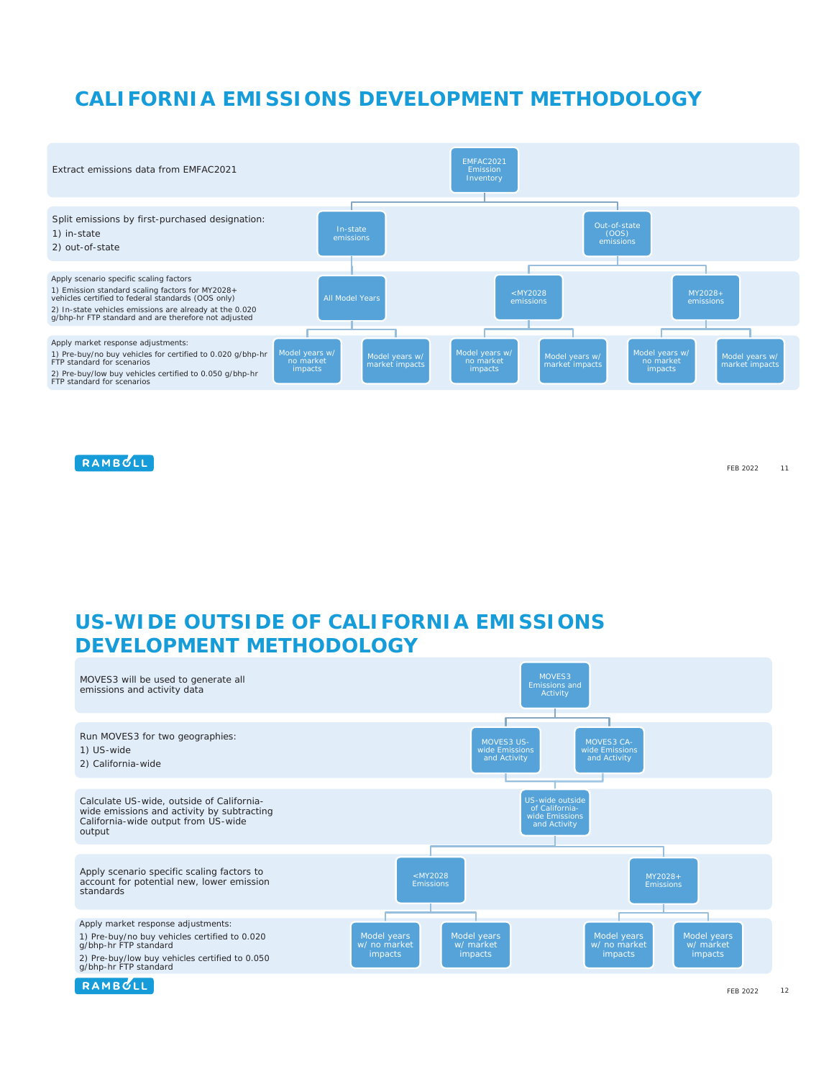# **CALIFORNIA EMISSIONS DEVELOPMENT METHODOLOGY**



RAMBOLL

FEB 2022 11

## **US-WIDE OUTSIDE OF CALIFORNIA EMISSIONS DEVELOPMENT METHODOLOGY**



RAMBULL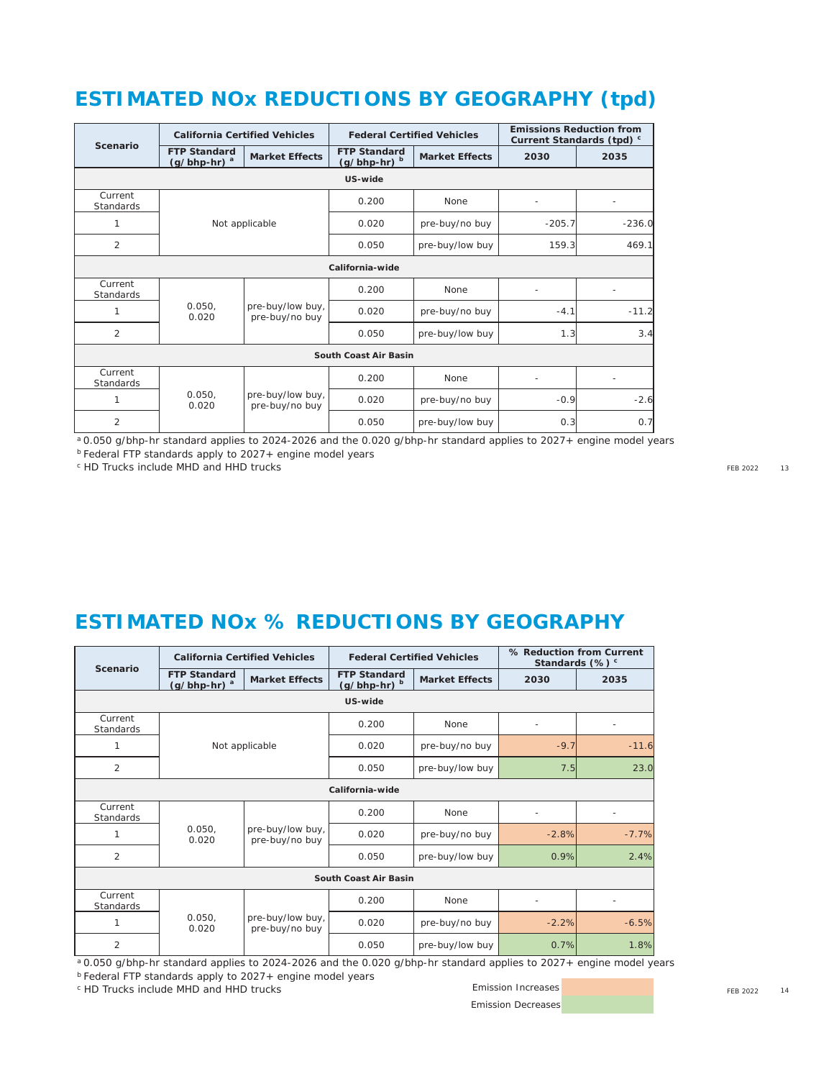# **ESTIMATED NOx REDUCTIONS BY GEOGRAPHY (tpd)**

| Scenario                    | <b>California Certified Vehicles</b>             |                                    |                                     | <b>Federal Certified Vehicles</b> | <b>Emissions Reduction from</b><br>Current Standards (tpd) c |          |         |  |  |  |
|-----------------------------|--------------------------------------------------|------------------------------------|-------------------------------------|-----------------------------------|--------------------------------------------------------------|----------|---------|--|--|--|
|                             | <b>FTP Standard</b><br>$(g/bhp-hr)$ <sup>a</sup> | <b>Market Effects</b>              | <b>FTP Standard</b><br>(g/bhp-hr) b | <b>Market Effects</b>             | 2030                                                         | 2035     |         |  |  |  |
| US-wide                     |                                                  |                                    |                                     |                                   |                                                              |          |         |  |  |  |
| Current<br><b>Standards</b> |                                                  |                                    | 0.200                               | <b>None</b>                       |                                                              |          |         |  |  |  |
| $\mathbf{1}$                |                                                  | Not applicable                     | 0.020                               | pre-buy/no buy                    | $-205.7$                                                     | $-236.0$ |         |  |  |  |
| $\overline{2}$              |                                                  |                                    | 0.050                               | pre-buy/low buy                   | 159.3                                                        | 469.1    |         |  |  |  |
| California-wide             |                                                  |                                    |                                     |                                   |                                                              |          |         |  |  |  |
| Current<br><b>Standards</b> |                                                  |                                    | 0.200                               | <b>None</b>                       |                                                              |          |         |  |  |  |
| 1                           | 0.050.<br>0.020                                  | pre-buy/low buy,<br>pre-buy/no buy |                                     | 0.020                             | pre-buy/no buy                                               | $-4.1$   | $-11.2$ |  |  |  |
| $\overline{2}$              |                                                  |                                    |                                     | pre-buy/low buy                   | 1.3                                                          | 3.4      |         |  |  |  |
| South Coast Air Basin       |                                                  |                                    |                                     |                                   |                                                              |          |         |  |  |  |
| Current<br><b>Standards</b> | 0.050,<br>pre-buy/low buy,<br>0.020              | 0.200                              | None                                |                                   |                                                              |          |         |  |  |  |
|                             |                                                  | pre-buy/no buy                     | 0.020                               | pre-buy/no buy                    | $-0.9$                                                       | $-2.6$   |         |  |  |  |
| $\overline{2}$              |                                                  |                                    | 0.050                               | pre-buy/low buy                   | 0.3                                                          | 0.7      |         |  |  |  |

a 0.050 g/bhp-hr standard applies to 2024-2026 and the 0.020 g/bhp-hr standard applies to 2027+ engine model years

b Federal FTP standards apply to 2027+ engine model years

<sup>c</sup> HD Trucks include MHD and HHD trucks

FEB 2022 13

### **ESTIMATED NOx % REDUCTIONS BY GEOGRAPHY**

| Scenario              | <b>California Certified Vehicles</b>  |                                    |                                       | <b>Federal Certified Vehicles</b> | % Reduction from Current<br>Standards $(\%)$ <sup>c</sup> |         |  |  |  |
|-----------------------|---------------------------------------|------------------------------------|---------------------------------------|-----------------------------------|-----------------------------------------------------------|---------|--|--|--|
|                       | <b>FTP Standard</b><br>$(g/bhp-hr)^a$ | <b>Market Effects</b>              | <b>FTP Standard</b><br>$(g/bhp-hr)^b$ | <b>Market Effects</b>             | 2030                                                      | 2035    |  |  |  |
| US-wide               |                                       |                                    |                                       |                                   |                                                           |         |  |  |  |
| Current<br>Standards  |                                       |                                    | 0.200                                 | <b>None</b>                       |                                                           |         |  |  |  |
| 1                     |                                       | Not applicable                     | 0.020                                 | pre-buy/no buy                    | $-9.7$                                                    | $-11.6$ |  |  |  |
| 2                     |                                       |                                    | 0.050                                 | pre-buy/low buy                   | 7.5                                                       | 23.0    |  |  |  |
| California-wide       |                                       |                                    |                                       |                                   |                                                           |         |  |  |  |
| Current<br>Standards  |                                       |                                    | 0.200                                 | <b>None</b>                       | $\qquad \qquad \blacksquare$                              | ٠       |  |  |  |
|                       | 0.050.<br>0.020                       | pre-buy/low buy,<br>pre-buy/no buy | 0.020                                 | pre-buy/no buy                    | $-2.8%$                                                   | $-7.7%$ |  |  |  |
| $\overline{2}$        |                                       |                                    | 0.050                                 | pre-buy/low buy                   | 0.9%                                                      | 2.4%    |  |  |  |
| South Coast Air Basin |                                       |                                    |                                       |                                   |                                                           |         |  |  |  |
| Current<br>Standards  |                                       |                                    | 0.200                                 | <b>None</b>                       |                                                           |         |  |  |  |
| 1                     | 0.050.<br>0.020                       | pre-buy/low buy,<br>pre-buy/no buy | 0.020                                 | pre-buy/no buy                    | $-2.2%$                                                   | $-6.5%$ |  |  |  |
| $\overline{2}$        |                                       |                                    | 0.050                                 | pre-buy/low buy                   | 0.7%                                                      | 1.8%    |  |  |  |

a 0.050 g/bhp-hr standard applies to 2024-2026 and the 0.020 g/bhp-hr standard applies to 2027+ engine model years

b Federal FTP standards apply to 2027+ engine model years

<sup>c</sup> HD Trucks include MHD and HHD trucks

Emission Decreases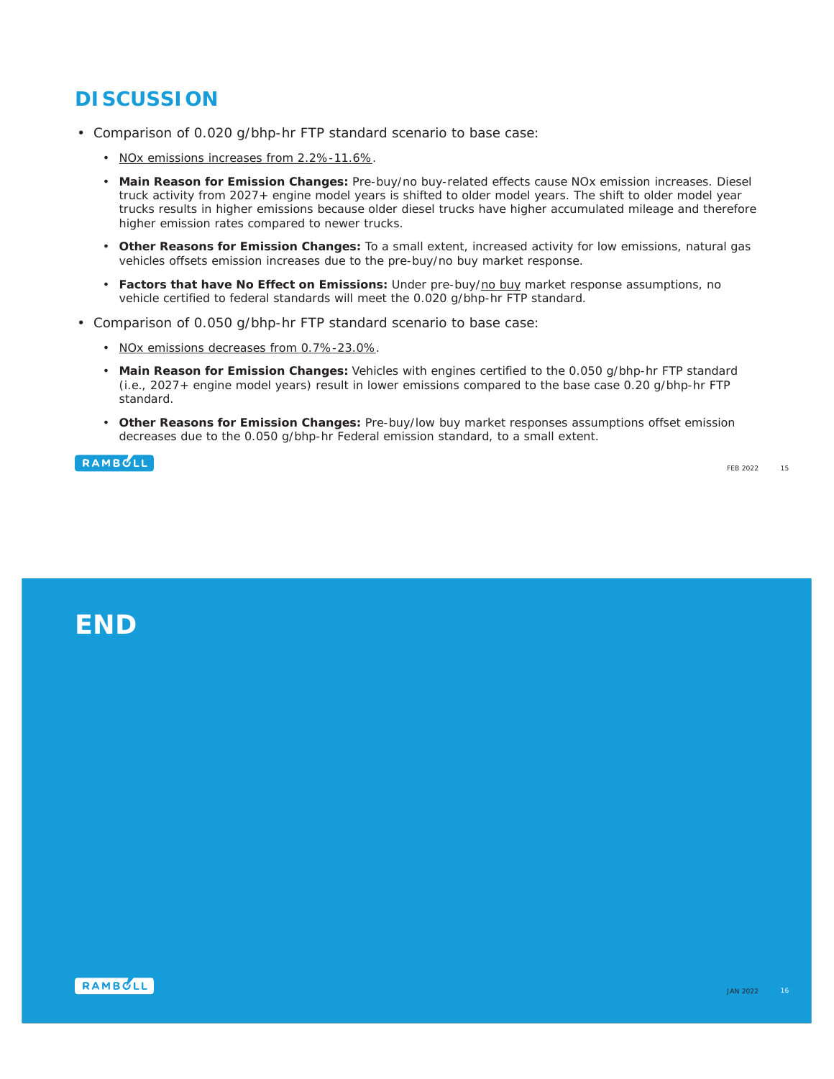# **DISCUSSION**

- Comparison of 0.020 g/bhp-hr FTP standard scenario to base case:
	- NOx emissions increases from 2.2%-11.6%.
	- **Main Reason for Emission Changes:** Pre-buy/no buy-related effects cause NOx emission increases. Diesel truck activity from 2027+ engine model years is shifted to older model years. The shift to older model year trucks results in higher emissions because older diesel trucks have higher accumulated mileage and therefore higher emission rates compared to newer trucks.
	- **Other Reasons for Emission Changes:** To a small extent, increased activity for low emissions, natural gas vehicles offsets emission increases due to the pre-buy/no buy market response.
	- **Factors that have No Effect on Emissions:** Under pre-buy/no buy market response assumptions, no vehicle certified to federal standards will meet the 0.020 g/bhp-hr FTP standard.
- Comparison of 0.050 g/bhp-hr FTP standard scenario to base case:
	- NOx emissions decreases from 0.7%-23.0%.
	- **Main Reason for Emission Changes:** Vehicles with engines certified to the 0.050 g/bhp-hr FTP standard (i.e., 2027+ engine model years) result in lower emissions compared to the base case 0.20 g/bhp-hr FTP standard.
	- **Other Reasons for Emission Changes:** Pre-buy/low buy market responses assumptions offset emission decreases due to the 0.050 g/bhp-hr Federal emission standard, to a small extent.

RAMBOLL

# **END**